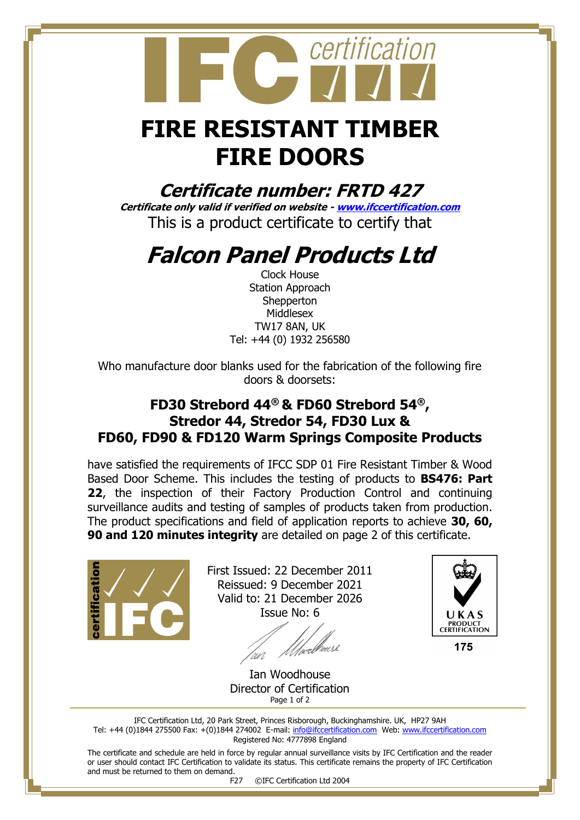## **FIRE RESISTANT TIMBER FIRE DOORS**

certification

**Certificate number: FRTD 427**

**Certificate only valid if verified on website - [www.ifccertification.com](http://www.ifccertification.com/)** This is a product certificate to certify that

## **Falcon Panel Products Ltd**

Clock House Station Approach **Shepperton** Middlesex TW17 8AN, UK Tel: +44 (0) 1932 256580

Who manufacture door blanks used for the fabrication of the following fire doors & doorsets:

## **FD30 Strebord 44® & FD60 Strebord 54® , Stredor 44, Stredor 54, FD30 Lux & FD60, FD90 & FD120 Warm Springs Composite Products**

have satisfied the requirements of IFCC SDP 01 Fire Resistant Timber & Wood Based Door Scheme. This includes the testing of products to **BS476: Part 22**, the inspection of their Factory Production Control and continuing surveillance audits and testing of samples of products taken from production. The product specifications and field of application reports to achieve **30, 60, 90 and 120 minutes integrity** are detailed on page 2 of this certificate.



First Issued: 22 December 2011 Reissued: 9 December 2021 Valid to: 21 December 2026 Issue No: 6

'wi



175

Ian Woodhouse Director of Certification Page 1 of 2

IFC Certification Ltd, 20 Park Street, Princes Risborough, Buckinghamshire. UK, HP27 9AH Tel: +44 (0)1844 275500 Fax: +(0)1844 274002 E-mail[: info@ifccertification.com](mailto:info@ifccertification.com) Web: [www.ifccertification.com](http://www.ifccertification.com/) Registered No: 4777898 England

The certificate and schedule are held in force by regular annual surveillance visits by IFC Certification and the reader or user should contact IFC Certification to validate its status. This certificate remains the property of IFC Certification and must be returned to them on demand.